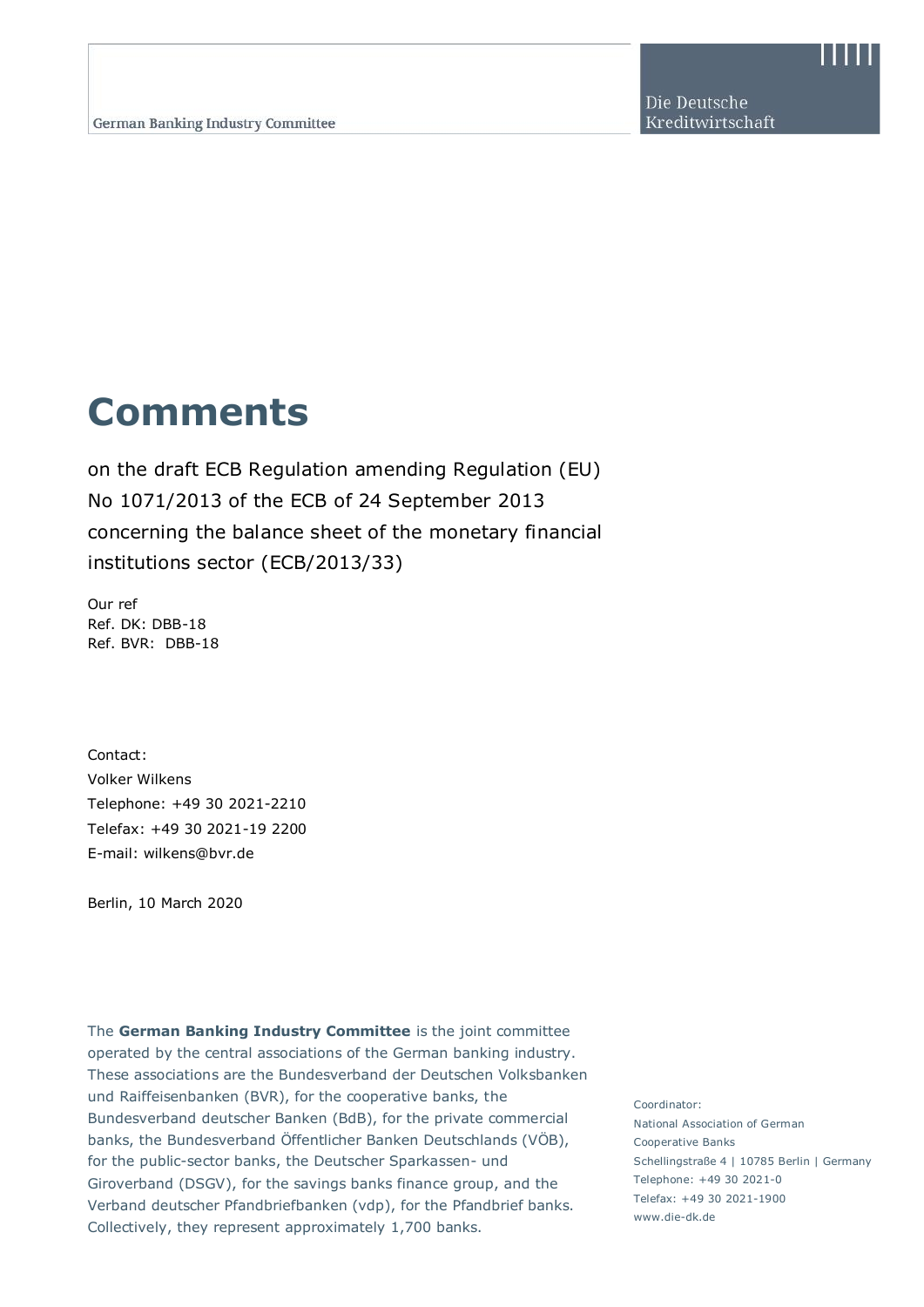Die Deutsche Kreditwirtschaft

# **Comments**

on the draft ECB Regulation amending Regulation (EU) No 1071/2013 of the ECB of 24 September 2013 concerning the balance sheet of the monetary financial institutions sector (ECB/2013/33)

Our ref Ref. DK: DBB-18 Ref. BVR: DBB-18

Contact: Volker Wilkens Telephone: +49 30 2021-2210 Telefax: +49 30 2021-19 2200 E-mail: wilkens@bvr.de

Berlin, 10 March 2020

www.die-dk.de Fliesch to Text Collectively, they represent approximately 1,700 banks. The **German Banking Industry Committee** is the joint committee operated by the central associations of the German banking industry. These associations are the Bundesverband der Deutschen Volksbanken und Raiffeisenbanken (BVR), for the cooperative banks, the Bundesverband deutscher Banken (BdB), for the private commercial banks, the Bundesverband Öffentlicher Banken Deutschlands (VÖB), for the public-sector banks, the Deutscher Sparkassen- und Giroverband (DSGV), for the savings banks finance group, and the Verband deutscher Pfandbriefbanken (vdp), for the Pfandbrief banks.

Coordinator: National Association of German Cooperative Banks Schellingstraße 4 | 10785 Berlin | Germany Telephone: +49 30 2021-0 Telefax: +49 30 2021-1900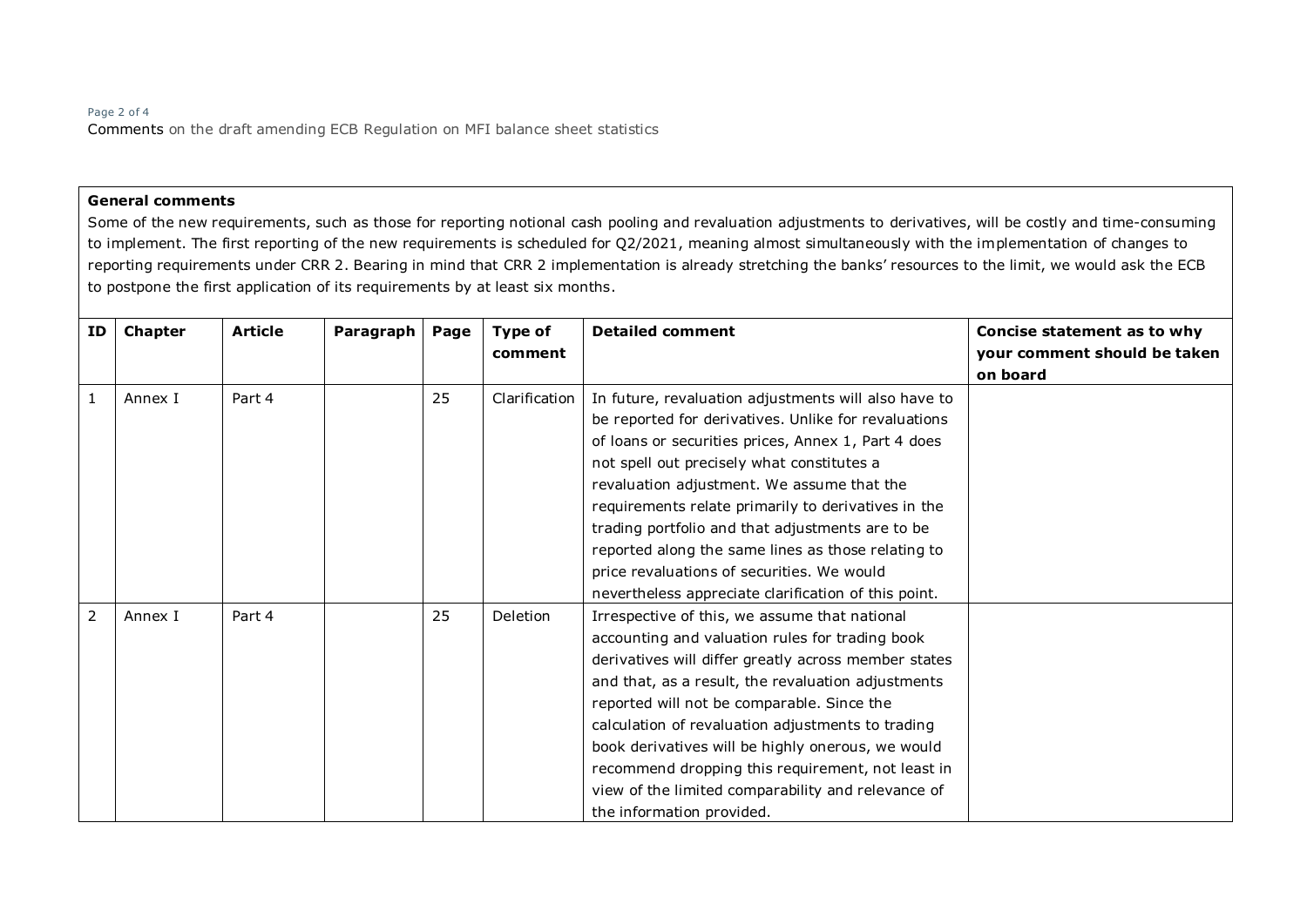### Page 2 of 4 Comments on the draft amending ECB Regulation on MFI balance sheet statistics

#### **General comments**

Some of the new requirements, such as those for reporting notional cash pooling and revaluation adjustments to derivatives, will be costly and time-consuming to implement. The first reporting of the new requirements is scheduled for Q2/2021, meaning almost simultaneously with the implementation of changes to reporting requirements under CRR 2. Bearing in mind that CRR 2 implementation is already stretching the banks' resources to the limit, we would ask the ECB to postpone the first application of its requirements by at least six months.

| ID             | Chapter | <b>Article</b> | Paragraph | Page | Type of         | <b>Detailed comment</b>                              | Concise statement as to why  |
|----------------|---------|----------------|-----------|------|-----------------|------------------------------------------------------|------------------------------|
|                |         |                |           |      | comment         |                                                      | your comment should be taken |
|                |         |                |           |      |                 |                                                      | on board                     |
| $\mathbf{1}$   | Annex I | Part 4         |           | 25   | Clarification   | In future, revaluation adjustments will also have to |                              |
|                |         |                |           |      |                 | be reported for derivatives. Unlike for revaluations |                              |
|                |         |                |           |      |                 | of loans or securities prices, Annex 1, Part 4 does  |                              |
|                |         |                |           |      |                 | not spell out precisely what constitutes a           |                              |
|                |         |                |           |      |                 | revaluation adjustment. We assume that the           |                              |
|                |         |                |           |      |                 | requirements relate primarily to derivatives in the  |                              |
|                |         |                |           |      |                 | trading portfolio and that adjustments are to be     |                              |
|                |         |                |           |      |                 | reported along the same lines as those relating to   |                              |
|                |         |                |           |      |                 | price revaluations of securities. We would           |                              |
|                |         |                |           |      |                 | nevertheless appreciate clarification of this point. |                              |
| $\overline{2}$ | Annex I | Part 4         |           | 25   | <b>Deletion</b> | Irrespective of this, we assume that national        |                              |
|                |         |                |           |      |                 | accounting and valuation rules for trading book      |                              |
|                |         |                |           |      |                 | derivatives will differ greatly across member states |                              |
|                |         |                |           |      |                 | and that, as a result, the revaluation adjustments   |                              |
|                |         |                |           |      |                 | reported will not be comparable. Since the           |                              |
|                |         |                |           |      |                 | calculation of revaluation adjustments to trading    |                              |
|                |         |                |           |      |                 | book derivatives will be highly onerous, we would    |                              |
|                |         |                |           |      |                 | recommend dropping this requirement, not least in    |                              |
|                |         |                |           |      |                 | view of the limited comparability and relevance of   |                              |
|                |         |                |           |      |                 | the information provided.                            |                              |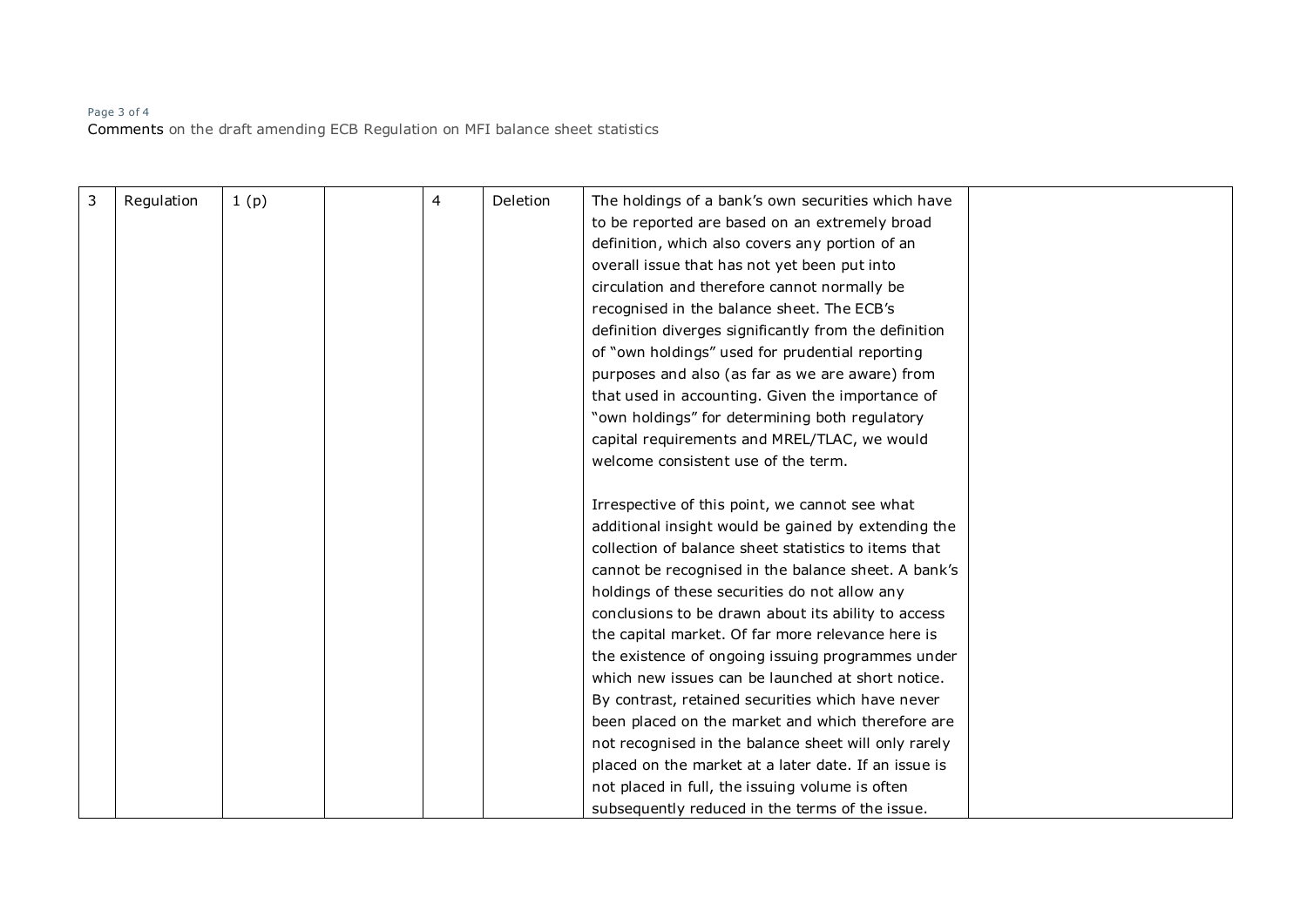## Page 3 of 4 Comments on the draft amending ECB Regulation on MFI balance sheet statistics

| 3 | Regulation | 1(p) | 4 | Deletion | The holdings of a bank's own securities which have    |  |
|---|------------|------|---|----------|-------------------------------------------------------|--|
|   |            |      |   |          | to be reported are based on an extremely broad        |  |
|   |            |      |   |          | definition, which also covers any portion of an       |  |
|   |            |      |   |          | overall issue that has not yet been put into          |  |
|   |            |      |   |          | circulation and therefore cannot normally be          |  |
|   |            |      |   |          | recognised in the balance sheet. The ECB's            |  |
|   |            |      |   |          | definition diverges significantly from the definition |  |
|   |            |      |   |          | of "own holdings" used for prudential reporting       |  |
|   |            |      |   |          | purposes and also (as far as we are aware) from       |  |
|   |            |      |   |          | that used in accounting. Given the importance of      |  |
|   |            |      |   |          | "own holdings" for determining both regulatory        |  |
|   |            |      |   |          | capital requirements and MREL/TLAC, we would          |  |
|   |            |      |   |          | welcome consistent use of the term.                   |  |
|   |            |      |   |          |                                                       |  |
|   |            |      |   |          | Irrespective of this point, we cannot see what        |  |
|   |            |      |   |          | additional insight would be gained by extending the   |  |
|   |            |      |   |          | collection of balance sheet statistics to items that  |  |
|   |            |      |   |          | cannot be recognised in the balance sheet. A bank's   |  |
|   |            |      |   |          | holdings of these securities do not allow any         |  |
|   |            |      |   |          | conclusions to be drawn about its ability to access   |  |
|   |            |      |   |          | the capital market. Of far more relevance here is     |  |
|   |            |      |   |          | the existence of ongoing issuing programmes under     |  |
|   |            |      |   |          | which new issues can be launched at short notice.     |  |
|   |            |      |   |          | By contrast, retained securities which have never     |  |
|   |            |      |   |          | been placed on the market and which therefore are     |  |
|   |            |      |   |          | not recognised in the balance sheet will only rarely  |  |
|   |            |      |   |          | placed on the market at a later date. If an issue is  |  |
|   |            |      |   |          | not placed in full, the issuing volume is often       |  |
|   |            |      |   |          | subsequently reduced in the terms of the issue.       |  |